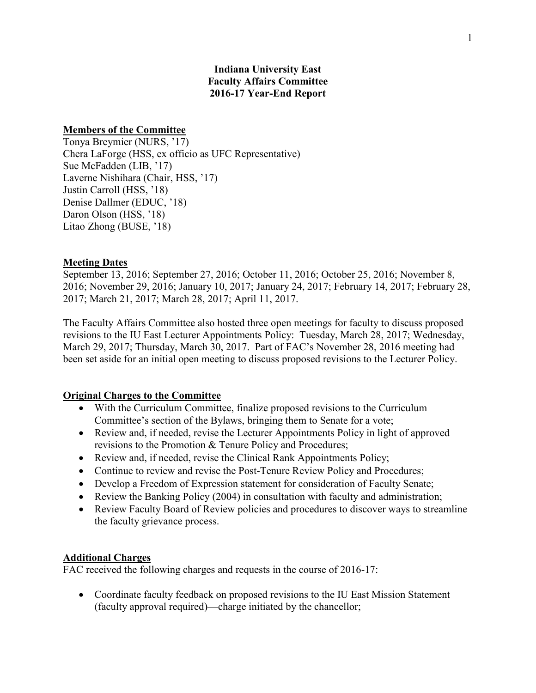## **Indiana University East Faculty Affairs Committee 2016-17 Year-End Report**

### **Members of the Committee**

Tonya Breymier (NURS, '17) Chera LaForge (HSS, ex officio as UFC Representative) Sue McFadden (LIB, '17) Laverne Nishihara (Chair, HSS, '17) Justin Carroll (HSS, '18) Denise Dallmer (EDUC, '18) Daron Olson (HSS, '18) Litao Zhong (BUSE, '18)

#### **Meeting Dates**

September 13, 2016; September 27, 2016; October 11, 2016; October 25, 2016; November 8, 2016; November 29, 2016; January 10, 2017; January 24, 2017; February 14, 2017; February 28, 2017; March 21, 2017; March 28, 2017; April 11, 2017.

The Faculty Affairs Committee also hosted three open meetings for faculty to discuss proposed revisions to the IU East Lecturer Appointments Policy: Tuesday, March 28, 2017; Wednesday, March 29, 2017; Thursday, March 30, 2017. Part of FAC's November 28, 2016 meeting had been set aside for an initial open meeting to discuss proposed revisions to the Lecturer Policy.

### **Original Charges to the Committee**

- With the Curriculum Committee, finalize proposed revisions to the Curriculum Committee's section of the Bylaws, bringing them to Senate for a vote;
- Review and, if needed, revise the Lecturer Appointments Policy in light of approved revisions to the Promotion & Tenure Policy and Procedures;
- Review and, if needed, revise the Clinical Rank Appointments Policy;
- Continue to review and revise the Post-Tenure Review Policy and Procedures;
- Develop a Freedom of Expression statement for consideration of Faculty Senate;
- Review the Banking Policy (2004) in consultation with faculty and administration;
- Review Faculty Board of Review policies and procedures to discover ways to streamline the faculty grievance process.

#### **Additional Charges**

FAC received the following charges and requests in the course of 2016-17:

• Coordinate faculty feedback on proposed revisions to the IU East Mission Statement (faculty approval required)—charge initiated by the chancellor;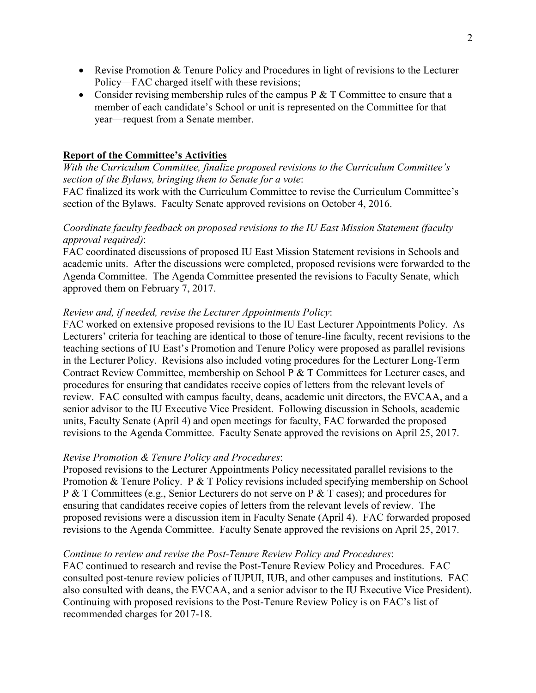- Revise Promotion & Tenure Policy and Procedures in light of revisions to the Lecturer Policy—FAC charged itself with these revisions;
- Consider revising membership rules of the campus  $P \& T$  Committee to ensure that a member of each candidate's School or unit is represented on the Committee for that year—request from a Senate member.

### **Report of the Committee's Activities**

*With the Curriculum Committee, finalize proposed revisions to the Curriculum Committee's section of the Bylaws, bringing them to Senate for a vote*:

FAC finalized its work with the Curriculum Committee to revise the Curriculum Committee's section of the Bylaws. Faculty Senate approved revisions on October 4, 2016.

## *Coordinate faculty feedback on proposed revisions to the IU East Mission Statement (faculty approval required)*:

FAC coordinated discussions of proposed IU East Mission Statement revisions in Schools and academic units. After the discussions were completed, proposed revisions were forwarded to the Agenda Committee. The Agenda Committee presented the revisions to Faculty Senate, which approved them on February 7, 2017.

### *Review and, if needed, revise the Lecturer Appointments Policy*:

FAC worked on extensive proposed revisions to the IU East Lecturer Appointments Policy. As Lecturers' criteria for teaching are identical to those of tenure-line faculty, recent revisions to the teaching sections of IU East's Promotion and Tenure Policy were proposed as parallel revisions in the Lecturer Policy. Revisions also included voting procedures for the Lecturer Long-Term Contract Review Committee, membership on School P & T Committees for Lecturer cases, and procedures for ensuring that candidates receive copies of letters from the relevant levels of review. FAC consulted with campus faculty, deans, academic unit directors, the EVCAA, and a senior advisor to the IU Executive Vice President. Following discussion in Schools, academic units, Faculty Senate (April 4) and open meetings for faculty, FAC forwarded the proposed revisions to the Agenda Committee. Faculty Senate approved the revisions on April 25, 2017.

#### *Revise Promotion & Tenure Policy and Procedures*:

Proposed revisions to the Lecturer Appointments Policy necessitated parallel revisions to the Promotion & Tenure Policy. P & T Policy revisions included specifying membership on School P & T Committees (e.g., Senior Lecturers do not serve on P & T cases); and procedures for ensuring that candidates receive copies of letters from the relevant levels of review. The proposed revisions were a discussion item in Faculty Senate (April 4). FAC forwarded proposed revisions to the Agenda Committee. Faculty Senate approved the revisions on April 25, 2017.

#### *Continue to review and revise the Post-Tenure Review Policy and Procedures*:

FAC continued to research and revise the Post-Tenure Review Policy and Procedures. FAC consulted post-tenure review policies of IUPUI, IUB, and other campuses and institutions. FAC also consulted with deans, the EVCAA, and a senior advisor to the IU Executive Vice President). Continuing with proposed revisions to the Post-Tenure Review Policy is on FAC's list of recommended charges for 2017-18.